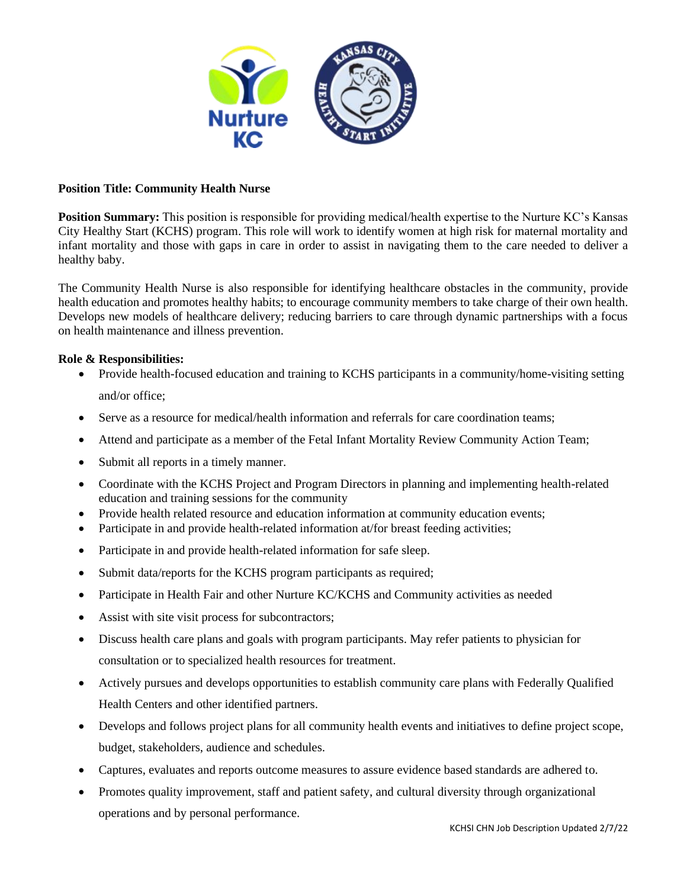

# **Position Title: Community Health Nurse**

**Position Summary:** This position is responsible for providing medical/health expertise to the Nurture KC's Kansas City Healthy Start (KCHS) program. This role will work to identify women at high risk for maternal mortality and infant mortality and those with gaps in care in order to assist in navigating them to the care needed to deliver a healthy baby.

The Community Health Nurse is also responsible for identifying healthcare obstacles in the community, provide health education and promotes healthy habits; to encourage community members to take charge of their own health. Develops new models of healthcare delivery; reducing barriers to care through dynamic partnerships with a focus on health maintenance and illness prevention.

### **Role & Responsibilities:**

- Provide health-focused education and training to KCHS participants in a community/home-visiting setting and/or office;
- Serve as a resource for medical/health information and referrals for care coordination teams;
- Attend and participate as a member of the Fetal Infant Mortality Review Community Action Team;
- Submit all reports in a timely manner.
- Coordinate with the KCHS Project and Program Directors in planning and implementing health-related education and training sessions for the community
- Provide health related resource and education information at community education events;
- Participate in and provide health-related information at/for breast feeding activities;
- Participate in and provide health-related information for safe sleep.
- Submit data/reports for the KCHS program participants as required;
- Participate in Health Fair and other Nurture KC/KCHS and Community activities as needed
- Assist with site visit process for subcontractors;
- Discuss health care plans and goals with program participants. May refer patients to physician for consultation or to specialized health resources for treatment.
- Actively pursues and develops opportunities to establish community care plans with Federally Qualified Health Centers and other identified partners.
- Develops and follows project plans for all community health events and initiatives to define project scope, budget, stakeholders, audience and schedules.
- Captures, evaluates and reports outcome measures to assure evidence based standards are adhered to.
- Promotes quality improvement, staff and patient safety, and cultural diversity through organizational operations and by personal performance.